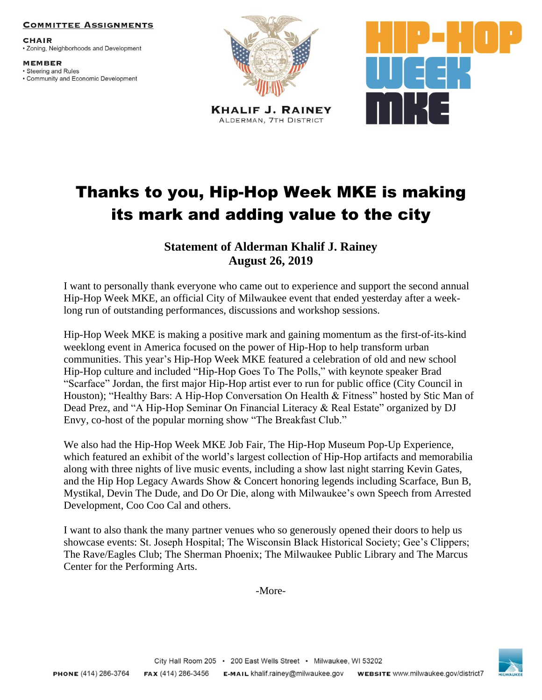## **COMMITTEE ASSIGNMENTS**

**CHAIR** • Zoning, Neighborhoods and Development

**MEMBER** · Steering and Rules • Community and Economic Development



**KHALIF J. RAINEY** ALDERMAN, 7TH DISTRICT



## Thanks to you, Hip-Hop Week MKE is making its mark and adding value to the city

## **Statement of Alderman Khalif J. Rainey August 26, 2019**

I want to personally thank everyone who came out to experience and support the second annual Hip-Hop Week MKE, an official City of Milwaukee event that ended yesterday after a weeklong run of outstanding performances, discussions and workshop sessions.

Hip-Hop Week MKE is making a positive mark and gaining momentum as the first-of-its-kind weeklong event in America focused on the power of Hip-Hop to help transform urban communities. This year's Hip-Hop Week MKE featured a celebration of old and new school Hip-Hop culture and included "Hip-Hop Goes To The Polls," with keynote speaker Brad "Scarface" Jordan, the first major Hip-Hop artist ever to run for public office (City Council in Houston); "Healthy Bars: A Hip-Hop Conversation On Health & Fitness" hosted by Stic Man of Dead Prez, and "A Hip-Hop Seminar On Financial Literacy & Real Estate" organized by DJ Envy, co-host of the popular morning show "The Breakfast Club."

We also had the Hip-Hop Week MKE Job Fair, The Hip-Hop Museum Pop-Up Experience, which featured an exhibit of the world's largest collection of Hip-Hop artifacts and memorabilia along with three nights of live music events, including a show last night starring Kevin Gates, and the Hip Hop Legacy Awards Show & Concert honoring legends including Scarface, Bun B, Mystikal, Devin The Dude, and Do Or Die, along with Milwaukee's own Speech from Arrested Development, Coo Coo Cal and others.

I want to also thank the many partner venues who so generously opened their doors to help us showcase events: St. Joseph Hospital; The Wisconsin Black Historical Society; Gee's Clippers; The Rave/Eagles Club; The Sherman Phoenix; The Milwaukee Public Library and The Marcus Center for the Performing Arts.

-More-